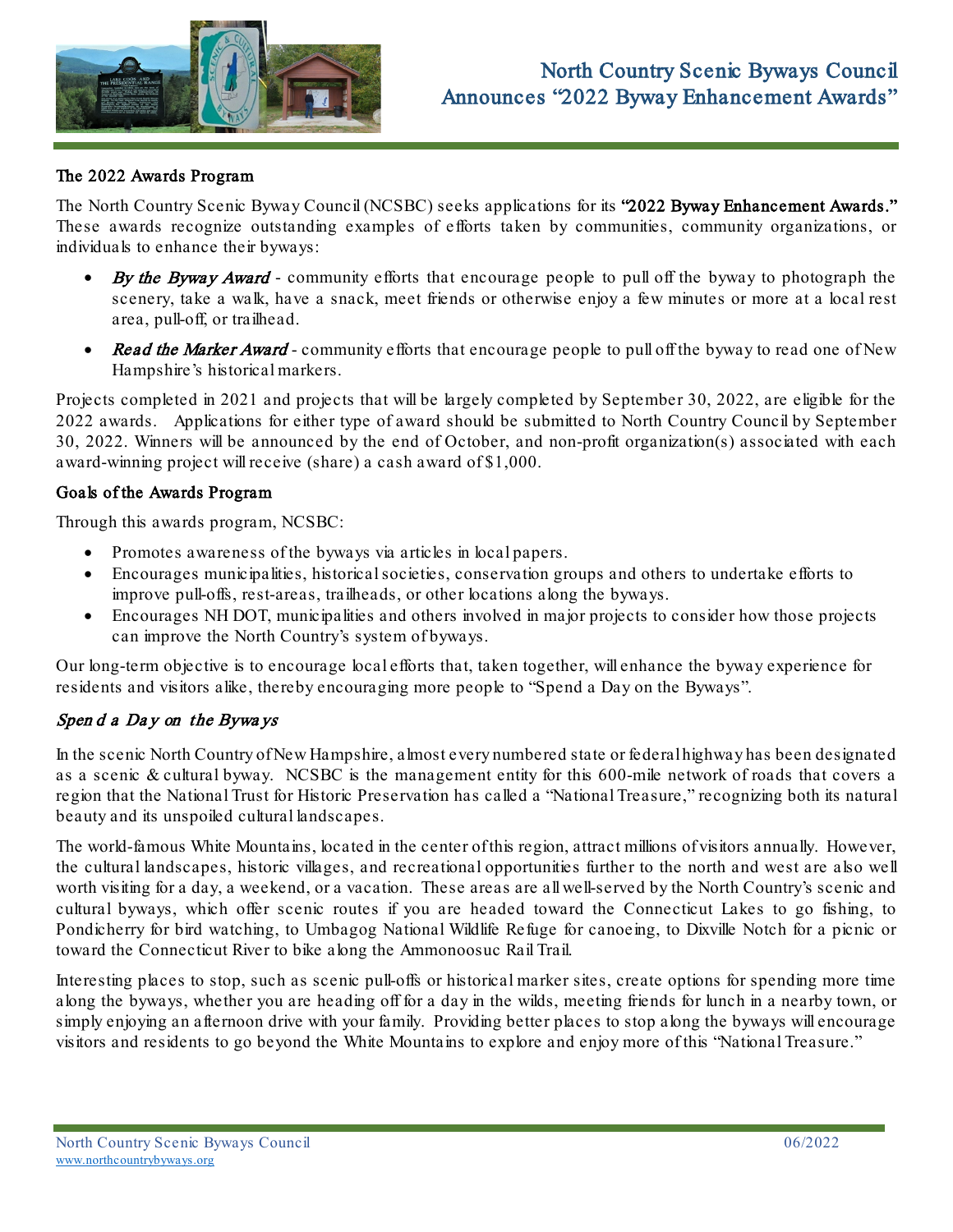

## The 2022 Awards Program

The North Country Scenic Byway Council (NCSBC) seeks applications for its "2022 Byway Enhancement Awards." These awards recognize outstanding examples of efforts taken by communities, community organizations, or individuals to enhance their byways:

- **By the Byway Award** community efforts that encourage people to pull off the byway to photograph the scenery, take a walk, have a snack, meet friends or otherwise enjoy a few minutes or more at a local rest area, pull-off, or trailhead.
- **Read the Marker Award community efforts that encourage people to pull off the byway to read one of New** Hampshire's historical markers.

Projects completed in 2021 and projects that will be largely completed by September 30, 2022, are eligible for the 2022 awards. Applications for either type of award should be submitted to North Country Council by September 30, 2022. Winners will be announced by the end of October, and non-profit organization(s) associated with each award-winning project will receive (share) a cash award of \$1,000.

#### Goals of the Awards Program

Through this awards program, NCSBC:

- Promotes awareness of the byways via articles in local papers.
- Encourages municipalities, historical societies, conservation groups and others to undertake efforts to improve pull-offs, rest-areas, trailheads, or other locations along the byways.
- Encourages NH DOT, municipalities and others involved in major projects to consider how those projects can improve the North Country's system of byways.

Our long-term objective is to encourage local efforts that, taken together, will enhance the byway experience for residents and visitors alike, thereby encouraging more people to "Spend a Day on the Byways".

# Spen d a Da y on the Bywa ys

In the scenic North Country of New Hampshire, almost every numbered state or federal highway has been designated as a scenic & cultural byway. NCSBC is the management entity for this 600-mile network of roads that covers a region that the National Trust for Historic Preservation has called a "National Treasure," recognizing both its natural beauty and its unspoiled cultural landscapes.

The world-famous White Mountains, located in the center of this region, attract millions of visitors annually. However, the cultural landscapes, historic villages, and recreational opportunities further to the north and west are also well worth visiting for a day, a weekend, or a vacation. These areas are all well-served by the North Country's scenic and cultural byways, which offer scenic routes if you are headed toward the Connecticut Lakes to go fishing, to Pondicherry for bird watching, to Umbagog National Wildlife Refuge for canoeing, to Dixville Notch for a picnic or toward the Connecticut River to bike along the Ammonoosuc Rail Trail.

Interesting places to stop, such as scenic pull-offs or historical marker sites, create options for spending more time along the byways, whether you are heading off for a day in the wilds, meeting friends for lunch in a nearby town, or simply enjoying an afternoon drive with your family. Providing better places to stop along the byways will encourage visitors and residents to go beyond the White Mountains to explore and enjoy more of this "National Treasure."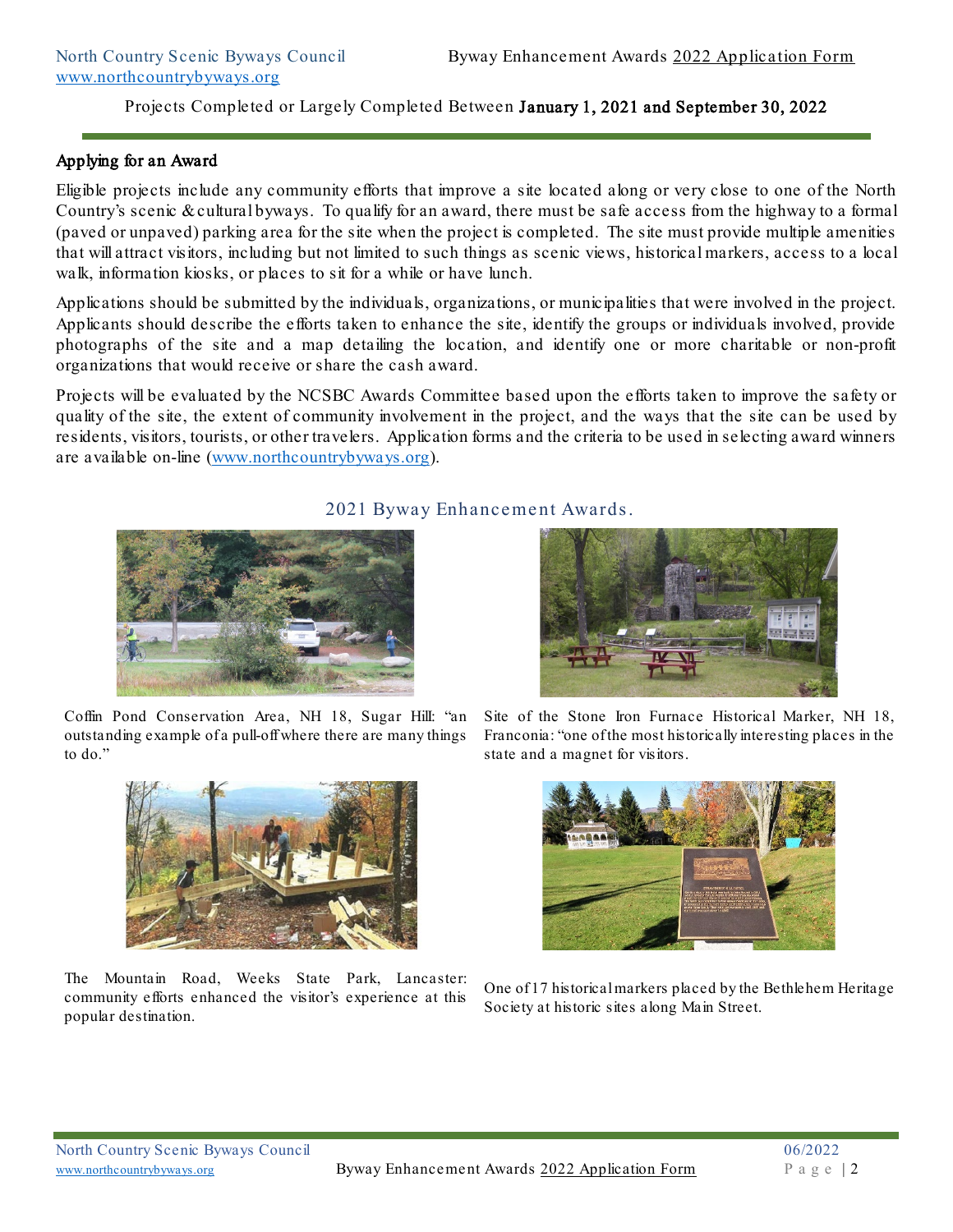## Applying for an Award

Eligible projects include any community efforts that improve a site located along or very close to one of the North Country's scenic & cultural byways. To qualify for an award, there must be safe access from the highway to a formal (paved or unpaved) parking area for the site when the project is completed. The site must provide multiple amenities that will attract visitors, including but not limited to such things as scenic views, historical markers, access to a local walk, information kiosks, or places to sit for a while or have lunch.

Applications should be submitted by the individuals, organizations, or municipalities that were involved in the project. Applicants should describe the efforts taken to enhance the site, identify the groups or individuals involved, provide photographs of the site and a map detailing the location, and identify one or more charitable or non-profit organizations that would receive or share the cash award.

Projects will be evaluated by the NCSBC Awards Committee based upon the efforts taken to improve the safety or quality of the site, the extent of community involvement in the project, and the ways that the site can be used by residents, visitors, tourists, or other travelers. Application forms and the criteria to be used in selecting award winners are available on-line [\(www.northcountrybyways.org\)](http://www.northcountrybyways.org/).



Coffin Pond Conservation Area, NH 18, Sugar HilI: "an outstanding example of a pull-off where there are many things to do."



The Mountain Road, Weeks State Park, Lancaster: community efforts enhanced the visitor's experience at this popular destination.

# 2021 Byway Enhancement Awards.



Site of the Stone Iron Furnace Historical Marker, NH 18, Franconia: "one of the most historically interesting places in the state and a magnet for visitors.



One of 17 historical markers placed by the Bethlehem Heritage Society at historic sites along Main Street.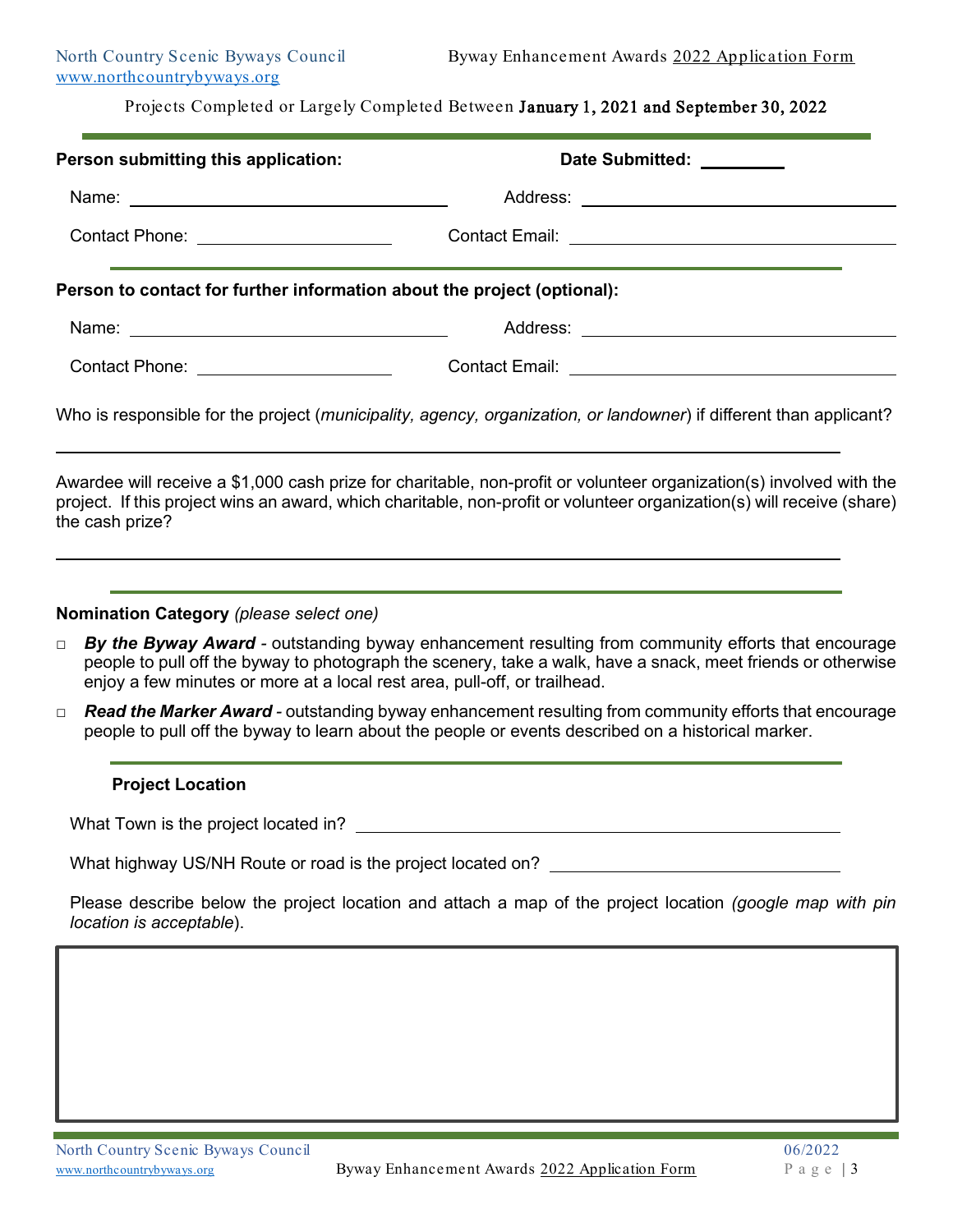| Person submitting this application:                                                                                                                                                                                                                                                                                                                                                                                               | Date Submitted: ________ |
|-----------------------------------------------------------------------------------------------------------------------------------------------------------------------------------------------------------------------------------------------------------------------------------------------------------------------------------------------------------------------------------------------------------------------------------|--------------------------|
|                                                                                                                                                                                                                                                                                                                                                                                                                                   |                          |
|                                                                                                                                                                                                                                                                                                                                                                                                                                   |                          |
| Person to contact for further information about the project (optional):                                                                                                                                                                                                                                                                                                                                                           |                          |
|                                                                                                                                                                                                                                                                                                                                                                                                                                   |                          |
| Contact Phone: _______________________                                                                                                                                                                                                                                                                                                                                                                                            |                          |
| Who is responsible for the project (municipality, agency, organization, or landowner) if different than applicant?                                                                                                                                                                                                                                                                                                                |                          |
| Awardee will receive a \$1,000 cash prize for charitable, non-profit or volunteer organization(s) involved with the<br>project. If this project wins an award, which charitable, non-profit or volunteer organization(s) will receive (share)<br>the cash prize?                                                                                                                                                                  |                          |
| Nomination Category (please select one)                                                                                                                                                                                                                                                                                                                                                                                           |                          |
| By the Byway Award - outstanding byway enhancement resulting from community efforts that encourage<br>$\Box$<br>people to pull off the byway to photograph the scenery, take a walk, have a snack, meet friends or otherwise<br>enjoy a few minutes or more at a local rest area, pull-off, or trailhead.<br>المناقب والمواقع المنافس والمستقل والمنافس والمتناور والمتنافس والمنافس والمنافس والمستقل والمستقل والمنافس والمنافس |                          |

*□ Read the Marker Award -* outstanding byway enhancement resulting from community efforts that encourage people to pull off the byway to learn about the people or events described on a historical marker.

#### **Project Location**

What Town is the project located in?

What highway US/NH Route or road is the project located on? \_\_\_\_\_\_\_\_\_\_\_\_\_\_\_\_\_\_\_\_

Please describe below the project location and attach a map of the project location *(google map with pin location is acceptable*).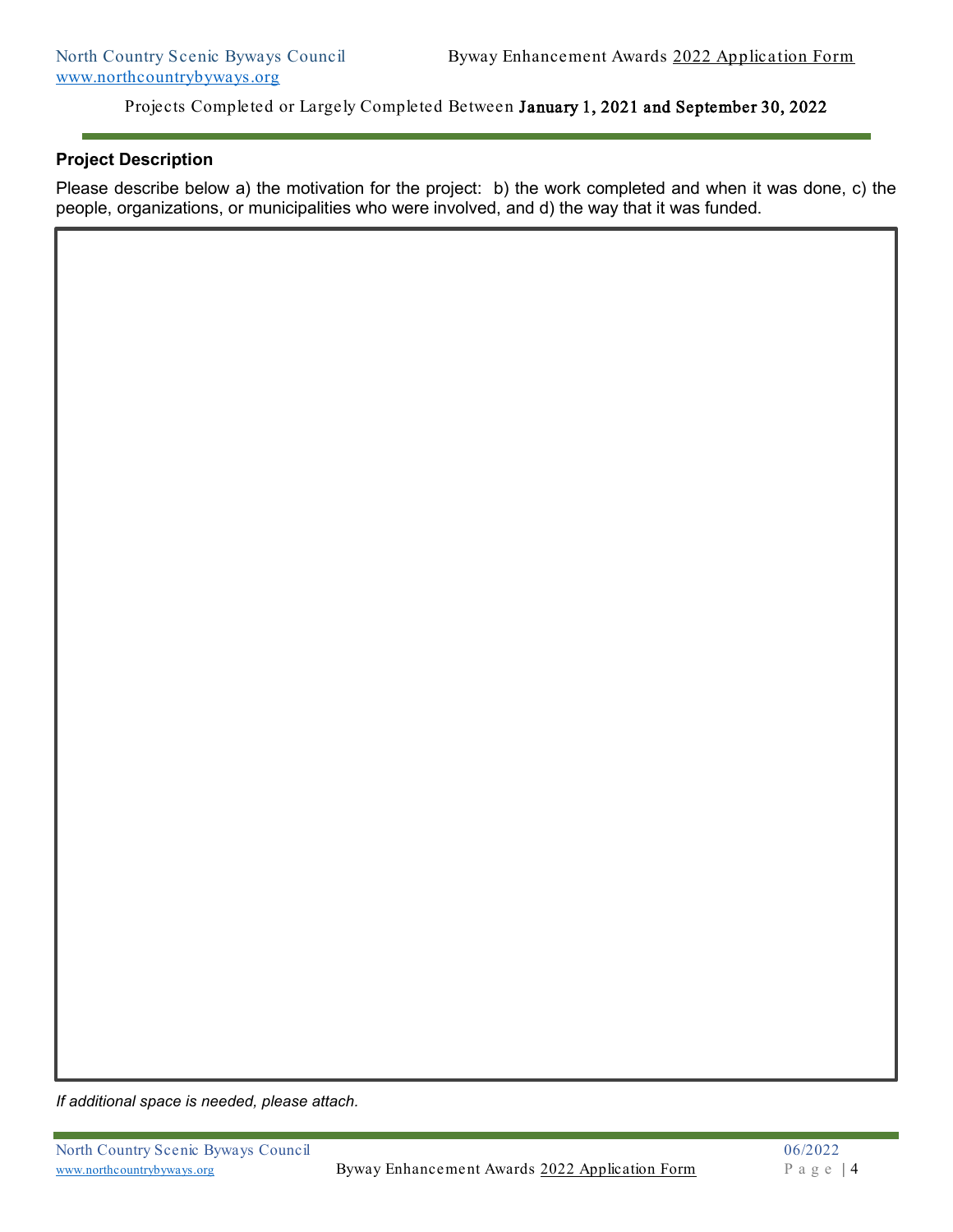## **Project Description**

Please describe below a) the motivation for the project: b) the work completed and when it was done, c) the people, organizations, or municipalities who were involved, and d) the way that it was funded.

*If additional space is needed, please attach.*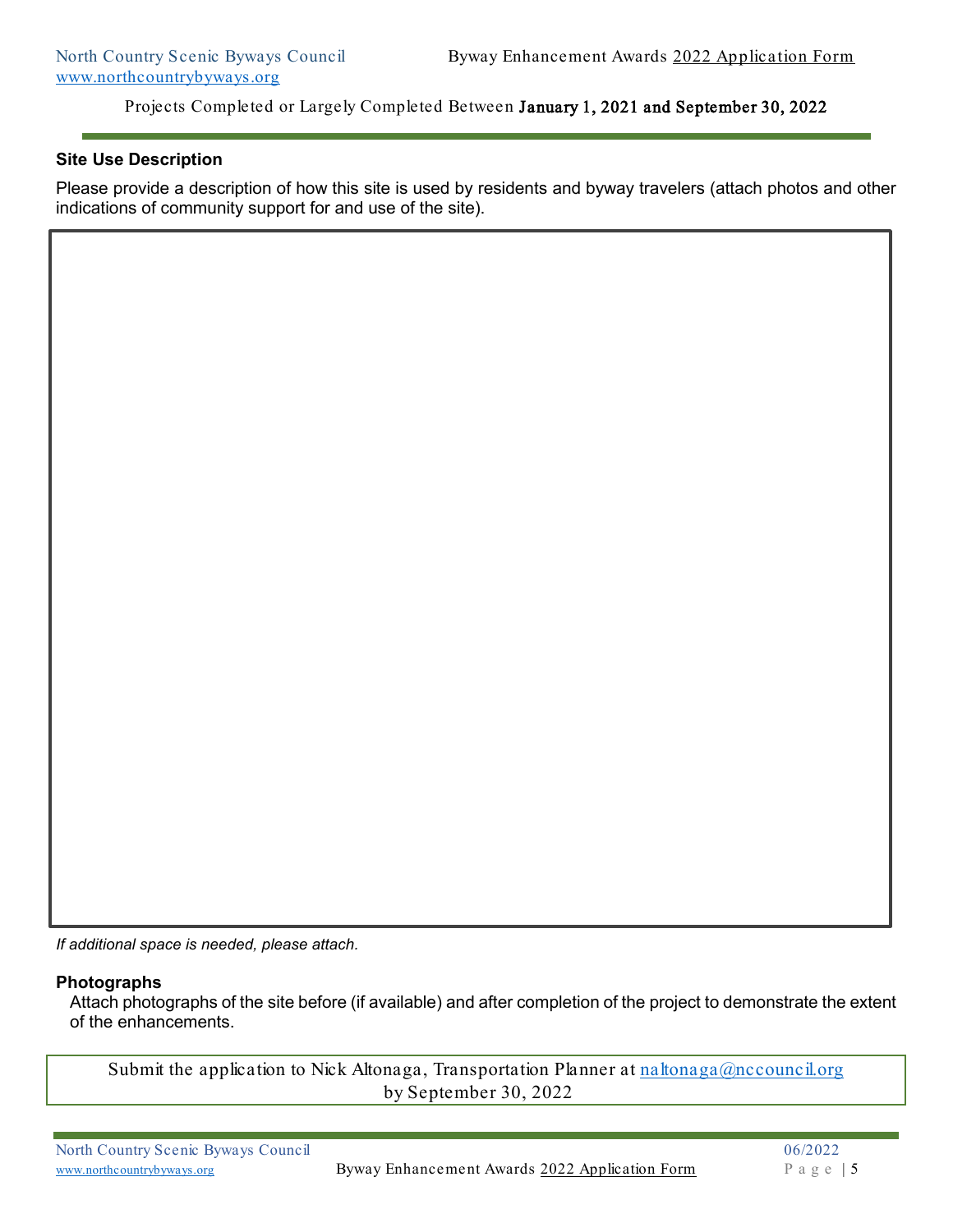#### **Site Use Description**

Please provide a description of how this site is used by residents and byway travelers (attach photos and other indications of community support for and use of the site).

*If additional space is needed, please attach.*

#### **Photographs**

Attach photographs of the site before (if available) and after completion of the project to demonstrate the extent of the enhancements.

Submit the application to Nick Altonaga, Transportation Planner at  $n$ altonaga@nccouncil.org by September 30, 2022